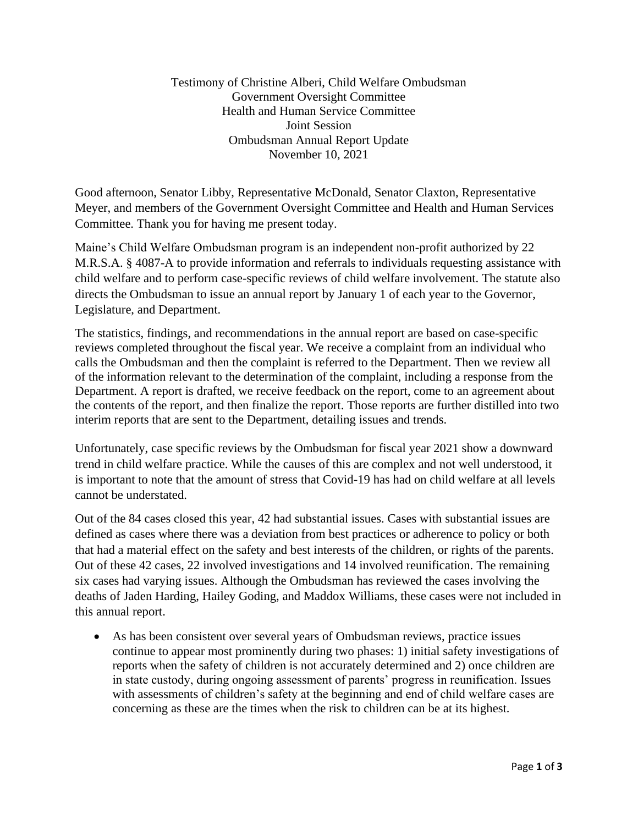Testimony of Christine Alberi, Child Welfare Ombudsman Government Oversight Committee Health and Human Service Committee Joint Session Ombudsman Annual Report Update November 10, 2021

Good afternoon, Senator Libby, Representative McDonald, Senator Claxton, Representative Meyer, and members of the Government Oversight Committee and Health and Human Services Committee. Thank you for having me present today.

Maine's Child Welfare Ombudsman program is an independent non-profit authorized by 22 M.R.S.A. § 4087-A to provide information and referrals to individuals requesting assistance with child welfare and to perform case-specific reviews of child welfare involvement. The statute also directs the Ombudsman to issue an annual report by January 1 of each year to the Governor, Legislature, and Department.

The statistics, findings, and recommendations in the annual report are based on case-specific reviews completed throughout the fiscal year. We receive a complaint from an individual who calls the Ombudsman and then the complaint is referred to the Department. Then we review all of the information relevant to the determination of the complaint, including a response from the Department. A report is drafted, we receive feedback on the report, come to an agreement about the contents of the report, and then finalize the report. Those reports are further distilled into two interim reports that are sent to the Department, detailing issues and trends.

Unfortunately, case specific reviews by the Ombudsman for fiscal year 2021 show a downward trend in child welfare practice. While the causes of this are complex and not well understood, it is important to note that the amount of stress that Covid-19 has had on child welfare at all levels cannot be understated.

Out of the 84 cases closed this year, 42 had substantial issues. Cases with substantial issues are defined as cases where there was a deviation from best practices or adherence to policy or both that had a material effect on the safety and best interests of the children, or rights of the parents. Out of these 42 cases, 22 involved investigations and 14 involved reunification. The remaining six cases had varying issues. Although the Ombudsman has reviewed the cases involving the deaths of Jaden Harding, Hailey Goding, and Maddox Williams, these cases were not included in this annual report.

• As has been consistent over several years of Ombudsman reviews, practice issues continue to appear most prominently during two phases: 1) initial safety investigations of reports when the safety of children is not accurately determined and 2) once children are in state custody, during ongoing assessment of parents' progress in reunification. Issues with assessments of children's safety at the beginning and end of child welfare cases are concerning as these are the times when the risk to children can be at its highest.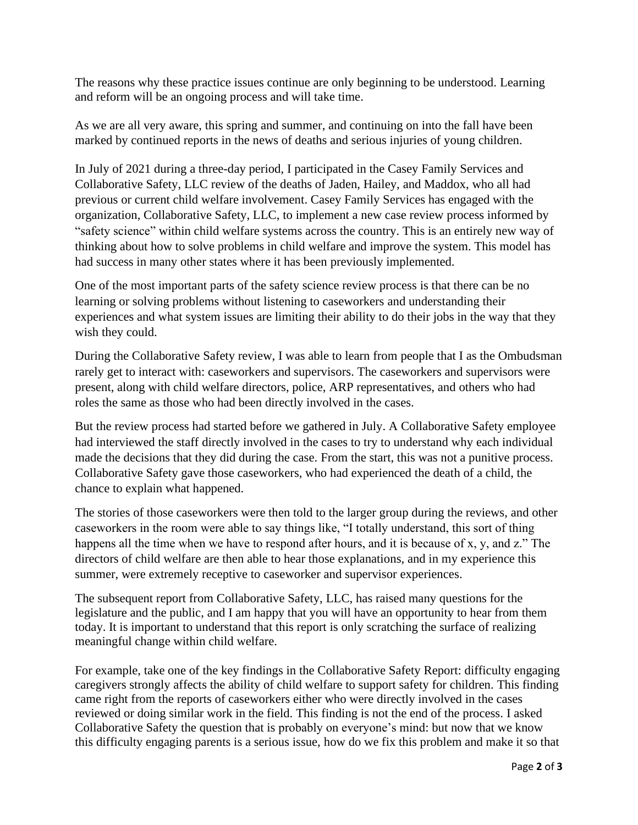The reasons why these practice issues continue are only beginning to be understood. Learning and reform will be an ongoing process and will take time.

As we are all very aware, this spring and summer, and continuing on into the fall have been marked by continued reports in the news of deaths and serious injuries of young children.

In July of 2021 during a three-day period, I participated in the Casey Family Services and Collaborative Safety, LLC review of the deaths of Jaden, Hailey, and Maddox, who all had previous or current child welfare involvement. Casey Family Services has engaged with the organization, Collaborative Safety, LLC, to implement a new case review process informed by "safety science" within child welfare systems across the country. This is an entirely new way of thinking about how to solve problems in child welfare and improve the system. This model has had success in many other states where it has been previously implemented.

One of the most important parts of the safety science review process is that there can be no learning or solving problems without listening to caseworkers and understanding their experiences and what system issues are limiting their ability to do their jobs in the way that they wish they could.

During the Collaborative Safety review, I was able to learn from people that I as the Ombudsman rarely get to interact with: caseworkers and supervisors. The caseworkers and supervisors were present, along with child welfare directors, police, ARP representatives, and others who had roles the same as those who had been directly involved in the cases.

But the review process had started before we gathered in July. A Collaborative Safety employee had interviewed the staff directly involved in the cases to try to understand why each individual made the decisions that they did during the case. From the start, this was not a punitive process. Collaborative Safety gave those caseworkers, who had experienced the death of a child, the chance to explain what happened.

The stories of those caseworkers were then told to the larger group during the reviews, and other caseworkers in the room were able to say things like, "I totally understand, this sort of thing happens all the time when we have to respond after hours, and it is because of x, y, and z." The directors of child welfare are then able to hear those explanations, and in my experience this summer, were extremely receptive to caseworker and supervisor experiences.

The subsequent report from Collaborative Safety, LLC, has raised many questions for the legislature and the public, and I am happy that you will have an opportunity to hear from them today. It is important to understand that this report is only scratching the surface of realizing meaningful change within child welfare.

For example, take one of the key findings in the Collaborative Safety Report: difficulty engaging caregivers strongly affects the ability of child welfare to support safety for children. This finding came right from the reports of caseworkers either who were directly involved in the cases reviewed or doing similar work in the field. This finding is not the end of the process. I asked Collaborative Safety the question that is probably on everyone's mind: but now that we know this difficulty engaging parents is a serious issue, how do we fix this problem and make it so that